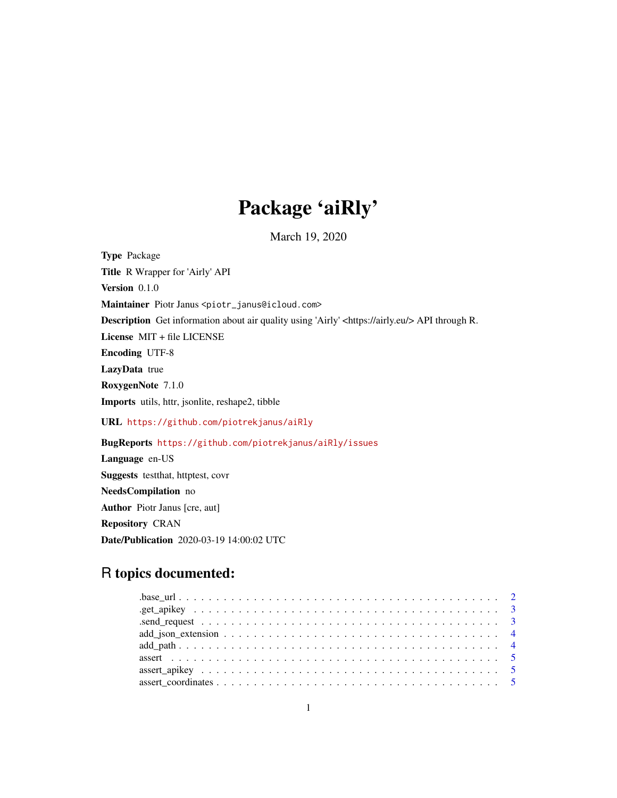# Package 'aiRly'

March 19, 2020

Type Package Title R Wrapper for 'Airly' API Version 0.1.0 Maintainer Piotr Janus <piotr\_janus@icloud.com> Description Get information about air quality using 'Airly' <https://airly.eu/> API through R. License MIT + file LICENSE Encoding UTF-8 LazyData true RoxygenNote 7.1.0 Imports utils, httr, jsonlite, reshape2, tibble URL <https://github.com/piotrekjanus/aiRly> BugReports <https://github.com/piotrekjanus/aiRly/issues> Language en-US Suggests testthat, httptest, covr

NeedsCompilation no Author Piotr Janus [cre, aut] Repository CRAN Date/Publication 2020-03-19 14:00:02 UTC

## R topics documented:

| $add_json\_extension \ldots \ldots \ldots \ldots \ldots \ldots \ldots \ldots \ldots \ldots \ldots \ldots \ldots 4$ |  |
|--------------------------------------------------------------------------------------------------------------------|--|
|                                                                                                                    |  |
|                                                                                                                    |  |
|                                                                                                                    |  |
|                                                                                                                    |  |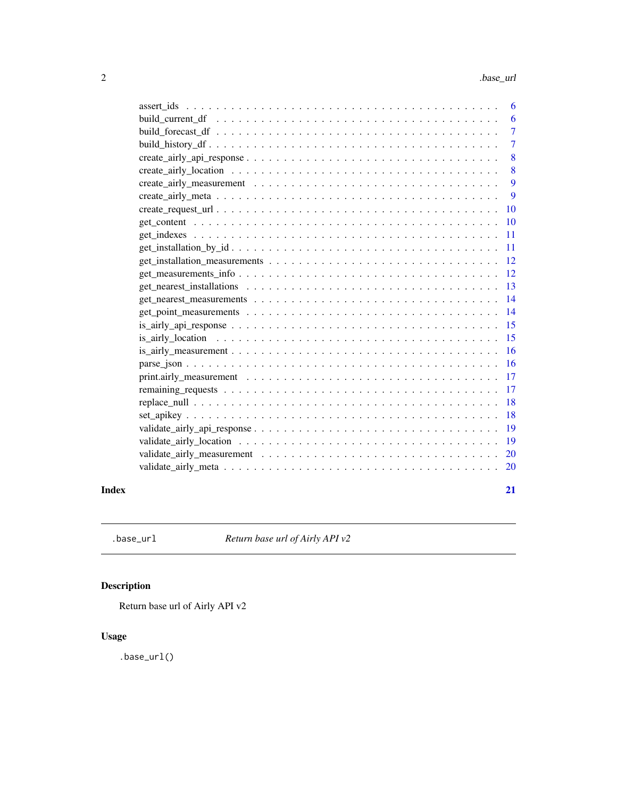<span id="page-1-0"></span>

| 6                                                                                                             |
|---------------------------------------------------------------------------------------------------------------|
| 6                                                                                                             |
| $\overline{7}$                                                                                                |
| $\overline{7}$                                                                                                |
| 8                                                                                                             |
| 8                                                                                                             |
| 9                                                                                                             |
| 9                                                                                                             |
| 10                                                                                                            |
| <b>10</b>                                                                                                     |
| 11                                                                                                            |
| 11                                                                                                            |
| 12                                                                                                            |
| 12                                                                                                            |
| 13                                                                                                            |
| 14                                                                                                            |
| 14                                                                                                            |
| 15<br>$is\_arity\_api\_response \ldots \ldots \ldots \ldots \ldots \ldots \ldots \ldots \ldots \ldots \ldots$ |
| 15                                                                                                            |
| 16                                                                                                            |
| 16                                                                                                            |
| 17                                                                                                            |
| 17                                                                                                            |
| 18                                                                                                            |
| 18                                                                                                            |
| 19                                                                                                            |
| 19                                                                                                            |
| <b>20</b>                                                                                                     |
| <b>20</b>                                                                                                     |
|                                                                                                               |

#### **Index** [21](#page-20-0)

.base\_url *Return base url of Airly API v2*

### Description

Return base url of Airly API v2

### Usage

.base\_url()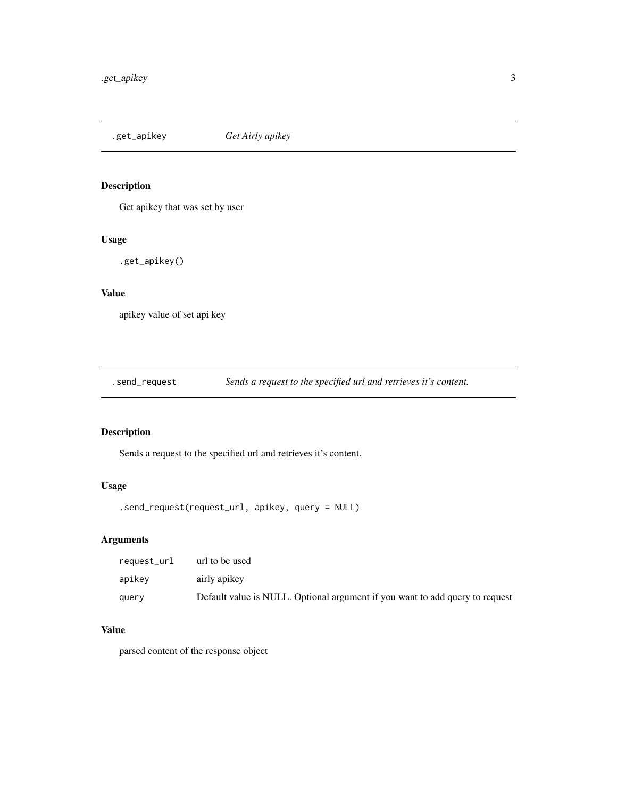<span id="page-2-0"></span>.get\_apikey *Get Airly apikey*

#### Description

Get apikey that was set by user

#### Usage

.get\_apikey()

#### Value

apikey value of set api key

.send\_request *Sends a request to the specified url and retrieves it's content.*

#### Description

Sends a request to the specified url and retrieves it's content.

#### Usage

```
.send_request(request_url, apikey, query = NULL)
```
#### Arguments

| request_url | url to be used                                                               |
|-------------|------------------------------------------------------------------------------|
| apikey      | airly apikey                                                                 |
| query       | Default value is NULL. Optional argument if you want to add query to request |

#### Value

parsed content of the response object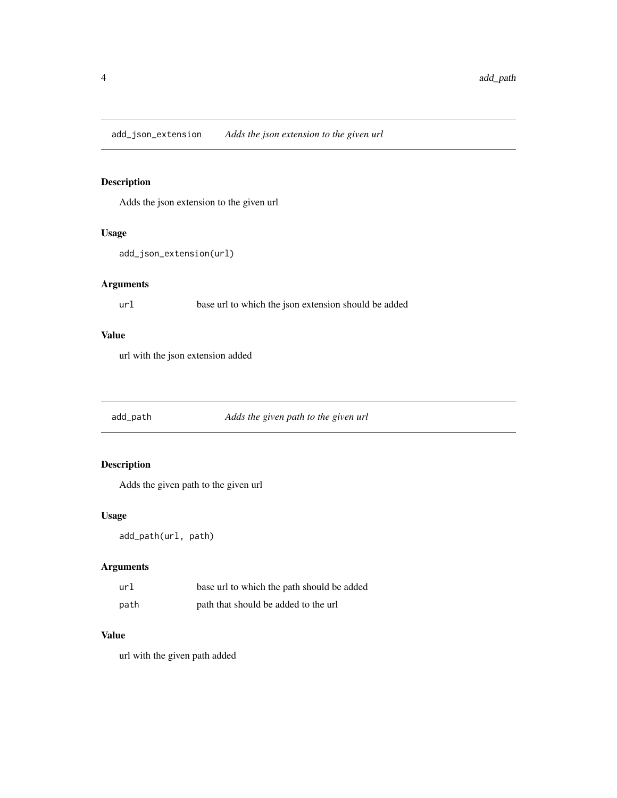<span id="page-3-0"></span>add\_json\_extension *Adds the json extension to the given url*

#### Description

Adds the json extension to the given url

#### Usage

```
add_json_extension(url)
```
#### Arguments

url base url to which the json extension should be added

#### Value

url with the json extension added

add\_path *Adds the given path to the given url*

#### Description

Adds the given path to the given url

#### Usage

add\_path(url, path)

#### Arguments

| url  | base url to which the path should be added |
|------|--------------------------------------------|
| path | path that should be added to the url       |

#### Value

url with the given path added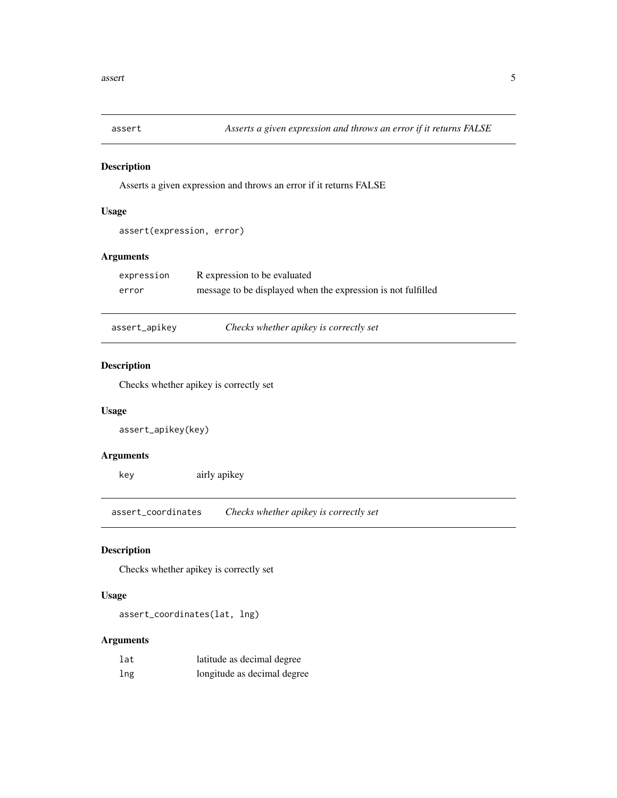<span id="page-4-0"></span>

#### Description

Asserts a given expression and throws an error if it returns FALSE

#### Usage

```
assert(expression, error)
```
#### Arguments

| expression | R expression to be evaluated                                 |
|------------|--------------------------------------------------------------|
| error      | message to be displayed when the expression is not fulfilled |

| Checks whether apikey is correctly set<br>assert_apikey |
|---------------------------------------------------------|
|---------------------------------------------------------|

#### Description

Checks whether apikey is correctly set

#### Usage

```
assert_apikey(key)
```
#### Arguments

key airly apikey

assert\_coordinates *Checks whether apikey is correctly set*

#### Description

Checks whether apikey is correctly set

#### Usage

assert\_coordinates(lat, lng)

#### Arguments

| lat | latitude as decimal degree  |
|-----|-----------------------------|
| lng | longitude as decimal degree |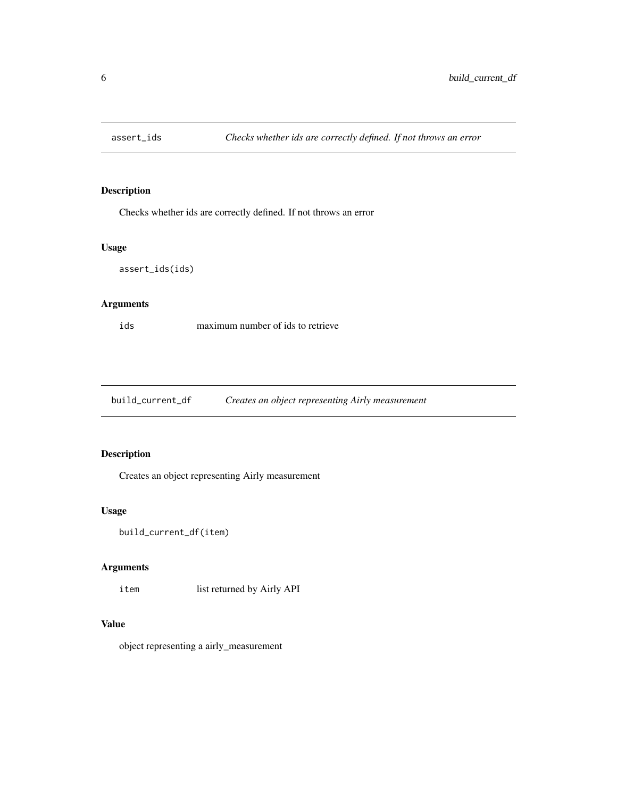<span id="page-5-0"></span>

#### Description

Checks whether ids are correctly defined. If not throws an error

#### Usage

assert\_ids(ids)

#### Arguments

ids maximum number of ids to retrieve

build\_current\_df *Creates an object representing Airly measurement*

#### Description

Creates an object representing Airly measurement

#### Usage

```
build_current_df(item)
```
#### Arguments

item list returned by Airly API

#### Value

object representing a airly\_measurement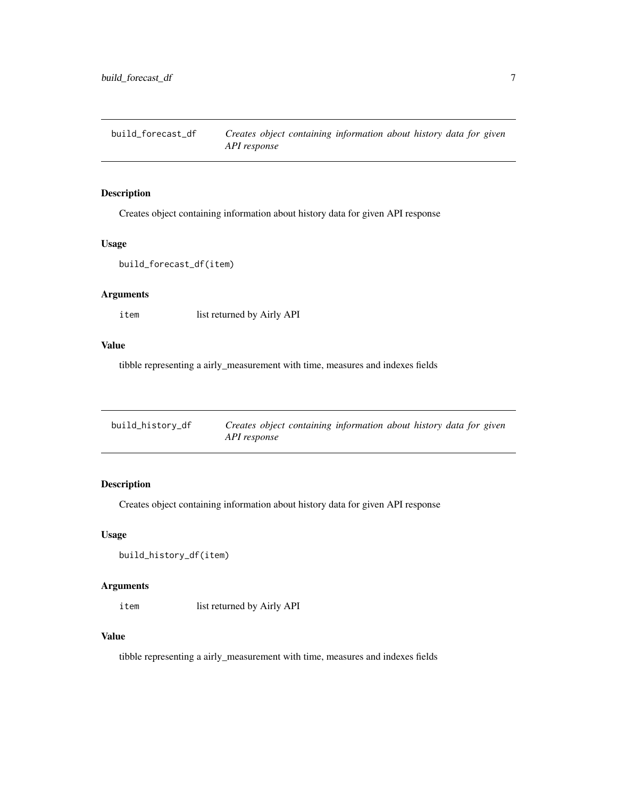<span id="page-6-0"></span>build\_forecast\_df *Creates object containing information about history data for given API response*

#### Description

Creates object containing information about history data for given API response

#### Usage

```
build_forecast_df(item)
```
#### Arguments

item list returned by Airly API

#### Value

tibble representing a airly\_measurement with time, measures and indexes fields

| build_history_df | Creates object containing information about history data for given |
|------------------|--------------------------------------------------------------------|
|                  | API response                                                       |

#### Description

Creates object containing information about history data for given API response

#### Usage

```
build_history_df(item)
```
#### Arguments

item list returned by Airly API

#### Value

tibble representing a airly\_measurement with time, measures and indexes fields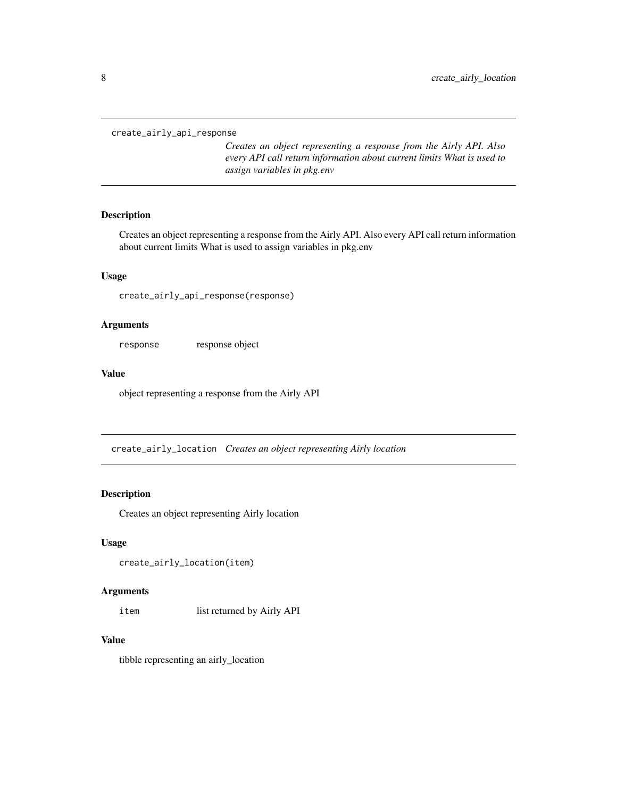```
create_airly_api_response
```
*Creates an object representing a response from the Airly API. Also every API call return information about current limits What is used to assign variables in pkg.env*

#### Description

Creates an object representing a response from the Airly API. Also every API call return information about current limits What is used to assign variables in pkg.env

#### Usage

create\_airly\_api\_response(response)

#### Arguments

response response object

#### Value

object representing a response from the Airly API

create\_airly\_location *Creates an object representing Airly location*

#### Description

Creates an object representing Airly location

#### Usage

```
create_airly_location(item)
```
#### Arguments

item list returned by Airly API

#### Value

tibble representing an airly\_location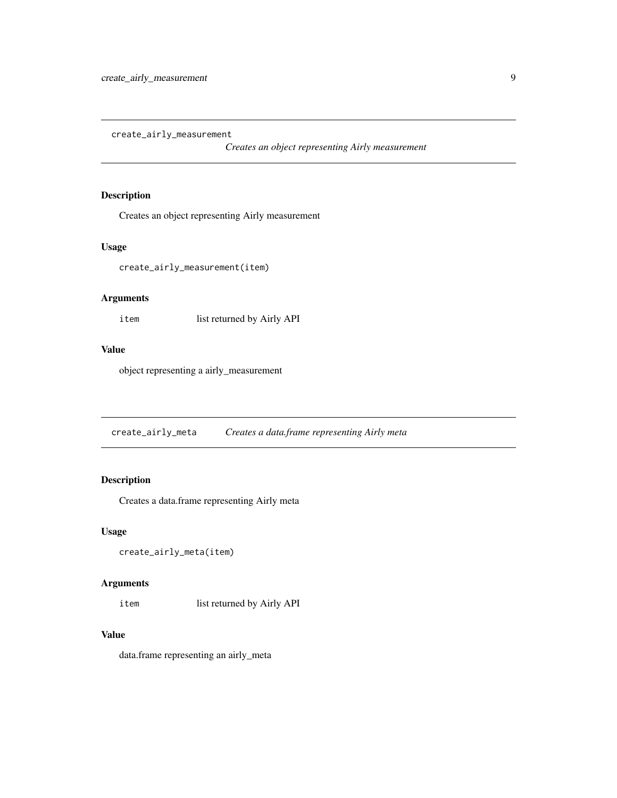<span id="page-8-0"></span>create\_airly\_measurement

*Creates an object representing Airly measurement*

#### Description

Creates an object representing Airly measurement

#### Usage

create\_airly\_measurement(item)

#### Arguments

item list returned by Airly API

#### Value

object representing a airly\_measurement

create\_airly\_meta *Creates a data.frame representing Airly meta*

#### Description

Creates a data.frame representing Airly meta

#### Usage

```
create_airly_meta(item)
```
#### Arguments

item list returned by Airly API

#### Value

data.frame representing an airly\_meta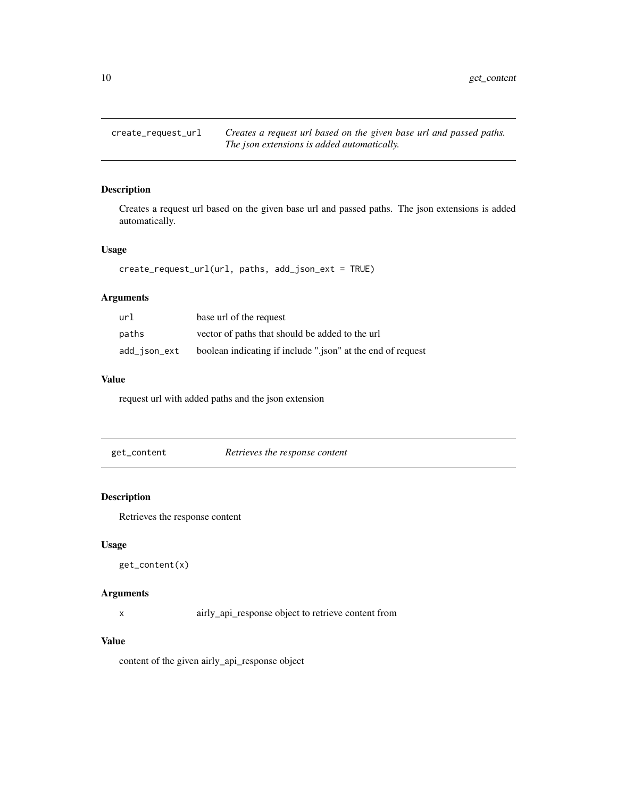<span id="page-9-0"></span>create\_request\_url *Creates a request url based on the given base url and passed paths. The json extensions is added automatically.*

#### Description

Creates a request url based on the given base url and passed paths. The json extensions is added automatically.

#### Usage

```
create_request_url(url, paths, add_json_ext = TRUE)
```
#### Arguments

| url          | base url of the request                                     |
|--------------|-------------------------------------------------------------|
| paths        | vector of paths that should be added to the url             |
| add_json_ext | boolean indicating if include ".json" at the end of request |

#### Value

request url with added paths and the json extension

get\_content *Retrieves the response content*

#### Description

Retrieves the response content

#### Usage

```
get_content(x)
```
#### Arguments

x airly\_api\_response object to retrieve content from

#### Value

content of the given airly\_api\_response object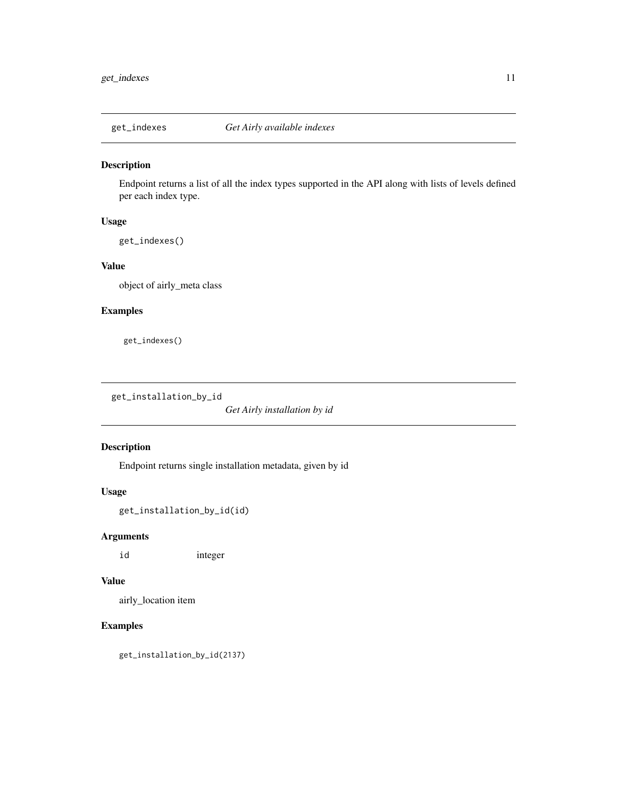<span id="page-10-0"></span>

#### Description

Endpoint returns a list of all the index types supported in the API along with lists of levels defined per each index type.

#### Usage

```
get_indexes()
```
#### Value

object of airly\_meta class

#### Examples

get\_indexes()

get\_installation\_by\_id

*Get Airly installation by id*

#### Description

Endpoint returns single installation metadata, given by id

#### Usage

get\_installation\_by\_id(id)

#### Arguments

id integer

#### Value

airly\_location item

#### Examples

get\_installation\_by\_id(2137)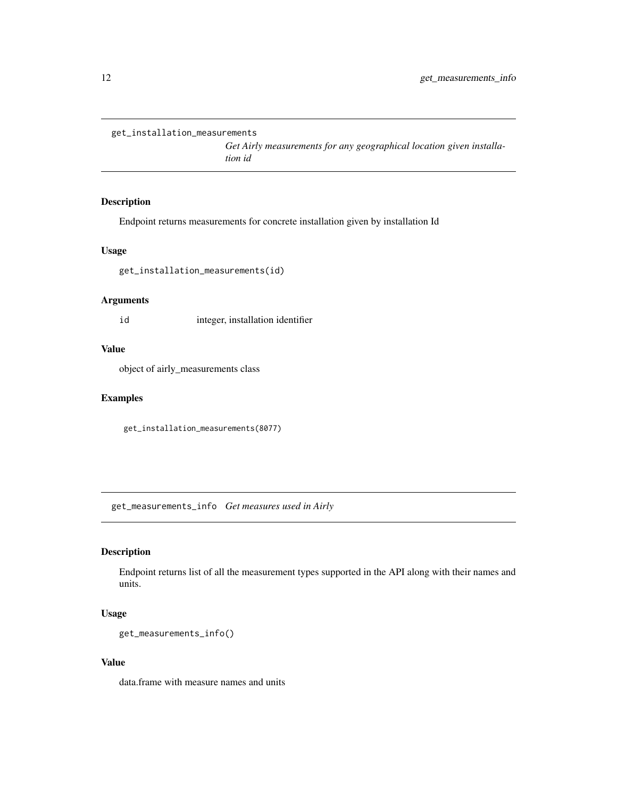```
get_installation_measurements
```
*Get Airly measurements for any geographical location given installation id*

#### Description

Endpoint returns measurements for concrete installation given by installation Id

#### Usage

get\_installation\_measurements(id)

#### Arguments

id integer, installation identifier

#### Value

object of airly\_measurements class

#### Examples

get\_installation\_measurements(8077)

get\_measurements\_info *Get measures used in Airly*

#### Description

Endpoint returns list of all the measurement types supported in the API along with their names and units.

#### Usage

```
get_measurements_info()
```
#### Value

data.frame with measure names and units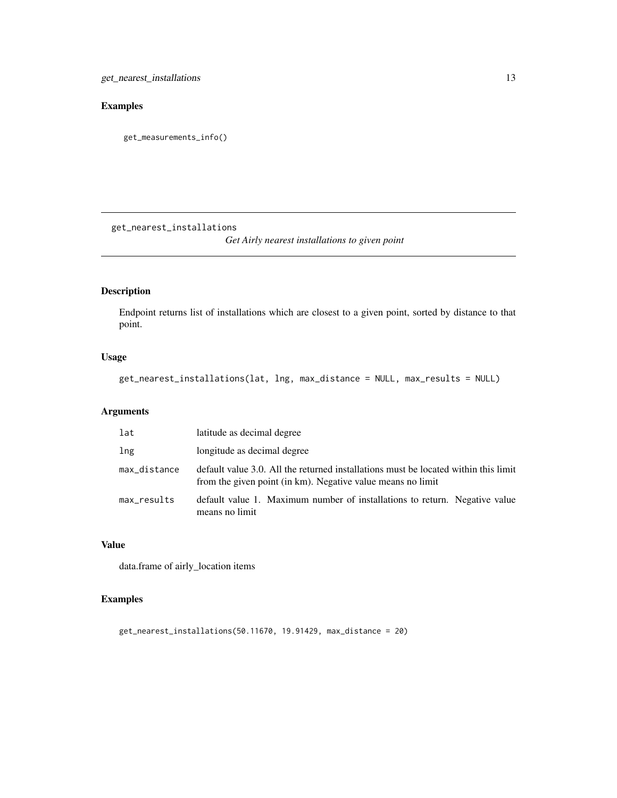#### <span id="page-12-0"></span>Examples

get\_measurements\_info()

get\_nearest\_installations

*Get Airly nearest installations to given point*

#### Description

Endpoint returns list of installations which are closest to a given point, sorted by distance to that point.

#### Usage

```
get_nearest_installations(lat, lng, max_distance = NULL, max_results = NULL)
```
#### Arguments

| lat          | latitude as decimal degree                                                                                                                         |
|--------------|----------------------------------------------------------------------------------------------------------------------------------------------------|
| lng          | longitude as decimal degree                                                                                                                        |
| max_distance | default value 3.0. All the returned installations must be located within this limit<br>from the given point (in km). Negative value means no limit |
| max results  | default value 1. Maximum number of installations to return. Negative value<br>means no limit                                                       |

#### Value

data.frame of airly\_location items

#### Examples

```
get_nearest_installations(50.11670, 19.91429, max_distance = 20)
```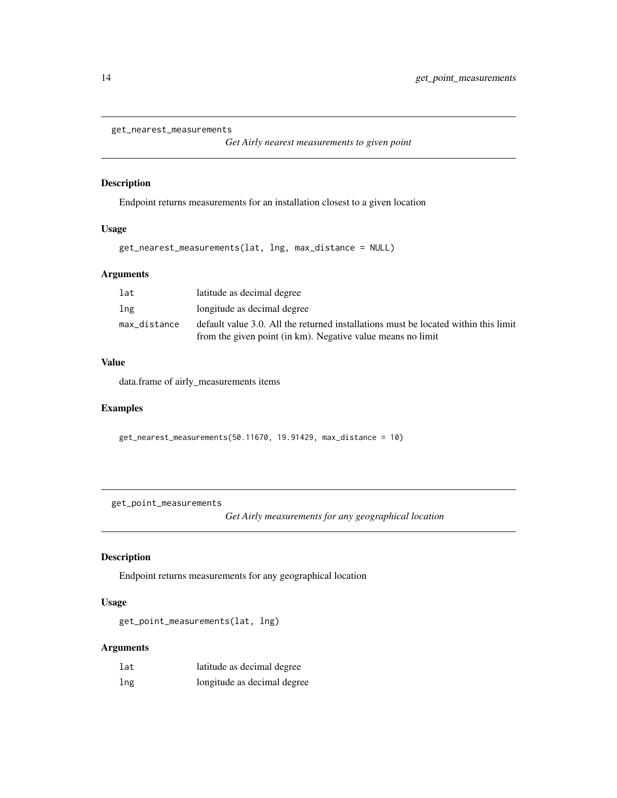```
get_nearest_measurements
```
*Get Airly nearest measurements to given point*

#### Description

Endpoint returns measurements for an installation closest to a given location

#### Usage

```
get_nearest_measurements(lat, lng, max_distance = NULL)
```
#### Arguments

| lat          | latitude as decimal degree                                                                                                                         |
|--------------|----------------------------------------------------------------------------------------------------------------------------------------------------|
| lng          | longitude as decimal degree                                                                                                                        |
| max distance | default value 3.0. All the returned installations must be located within this limit<br>from the given point (in km). Negative value means no limit |

#### Value

data.frame of airly\_measurements items

#### Examples

get\_nearest\_measurements(50.11670, 19.91429, max\_distance = 10)

get\_point\_measurements

*Get Airly measurements for any geographical location*

#### Description

Endpoint returns measurements for any geographical location

#### Usage

get\_point\_measurements(lat, lng)

#### Arguments

| lat | latitude as decimal degree  |
|-----|-----------------------------|
| lng | longitude as decimal degree |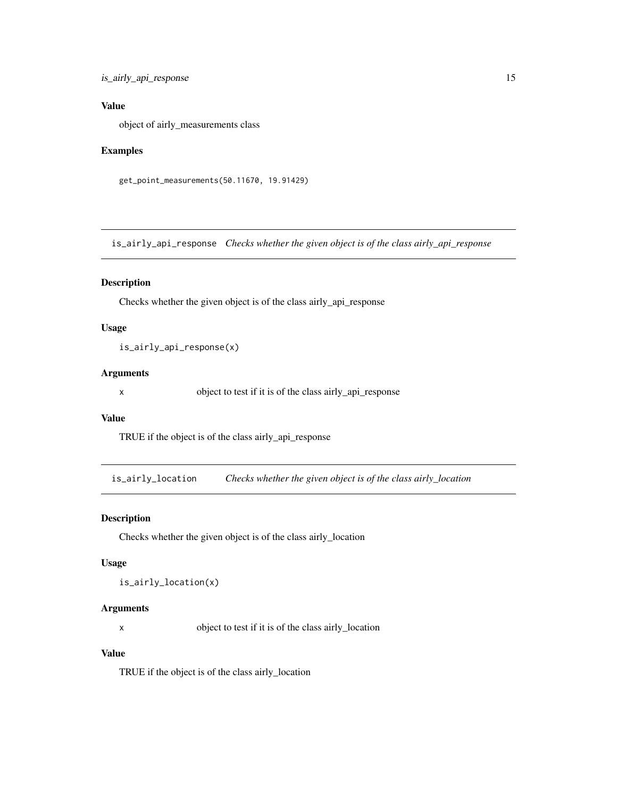#### <span id="page-14-0"></span>Value

object of airly\_measurements class

#### Examples

```
get_point_measurements(50.11670, 19.91429)
```
is\_airly\_api\_response *Checks whether the given object is of the class airly\_api\_response*

#### Description

Checks whether the given object is of the class airly\_api\_response

#### Usage

is\_airly\_api\_response(x)

#### Arguments

x object to test if it is of the class airly\_api\_response

#### Value

TRUE if the object is of the class airly\_api\_response

is\_airly\_location *Checks whether the given object is of the class airly\_location*

#### Description

Checks whether the given object is of the class airly\_location

#### Usage

is\_airly\_location(x)

#### Arguments

x object to test if it is of the class airly\_location

#### Value

TRUE if the object is of the class airly\_location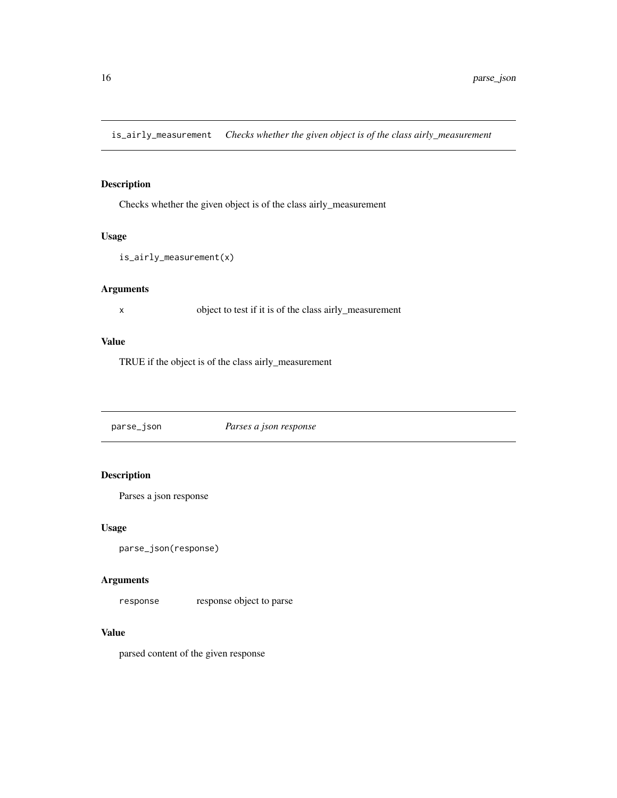<span id="page-15-0"></span>is\_airly\_measurement *Checks whether the given object is of the class airly\_measurement*

#### Description

Checks whether the given object is of the class airly\_measurement

#### Usage

```
is_airly_measurement(x)
```
#### Arguments

x object to test if it is of the class airly\_measurement

#### Value

TRUE if the object is of the class airly\_measurement

parse\_json *Parses a json response*

#### Description

Parses a json response

#### Usage

```
parse_json(response)
```
#### Arguments

response response object to parse

#### Value

parsed content of the given response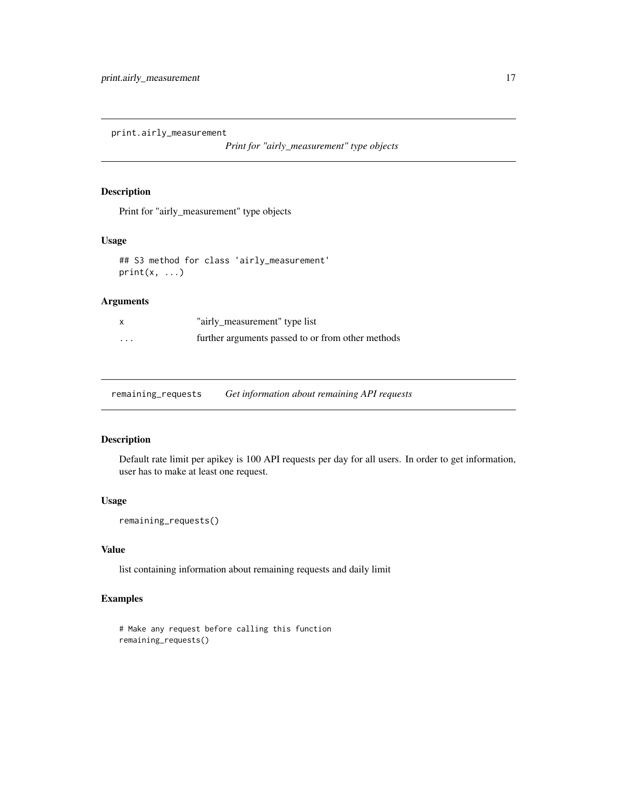<span id="page-16-0"></span>print.airly\_measurement

*Print for "airly\_measurement" type objects*

#### Description

Print for "airly\_measurement" type objects

#### Usage

```
## S3 method for class 'airly_measurement'
print(x, \ldots)
```
#### Arguments

| $\mathsf{x}$ | "airly_measurement" type list                     |
|--------------|---------------------------------------------------|
| $\cdots$     | further arguments passed to or from other methods |

remaining\_requests *Get information about remaining API requests*

#### Description

Default rate limit per apikey is 100 API requests per day for all users. In order to get information, user has to make at least one request.

#### Usage

remaining\_requests()

#### Value

list containing information about remaining requests and daily limit

#### Examples

```
# Make any request before calling this function
remaining_requests()
```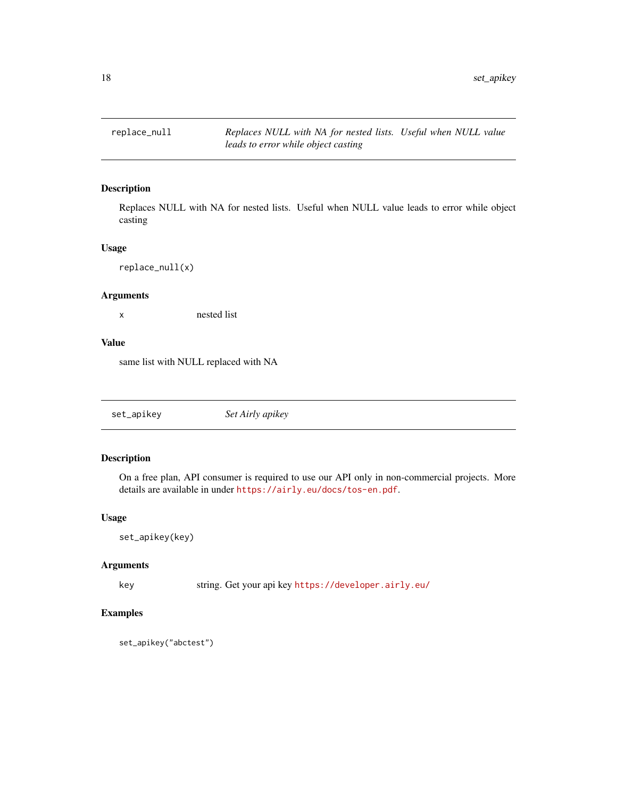<span id="page-17-0"></span>

#### Description

Replaces NULL with NA for nested lists. Useful when NULL value leads to error while object casting

#### Usage

replace\_null(x)

#### Arguments

x nested list

#### Value

same list with NULL replaced with NA

| set_apikey | Set Airly apikey |  |
|------------|------------------|--|
|------------|------------------|--|

#### Description

On a free plan, API consumer is required to use our API only in non-commercial projects. More details are available in under <https://airly.eu/docs/tos-en.pdf>.

#### Usage

```
set_apikey(key)
```
#### Arguments

key string. Get your api key <https://developer.airly.eu/>

#### Examples

set\_apikey("abctest")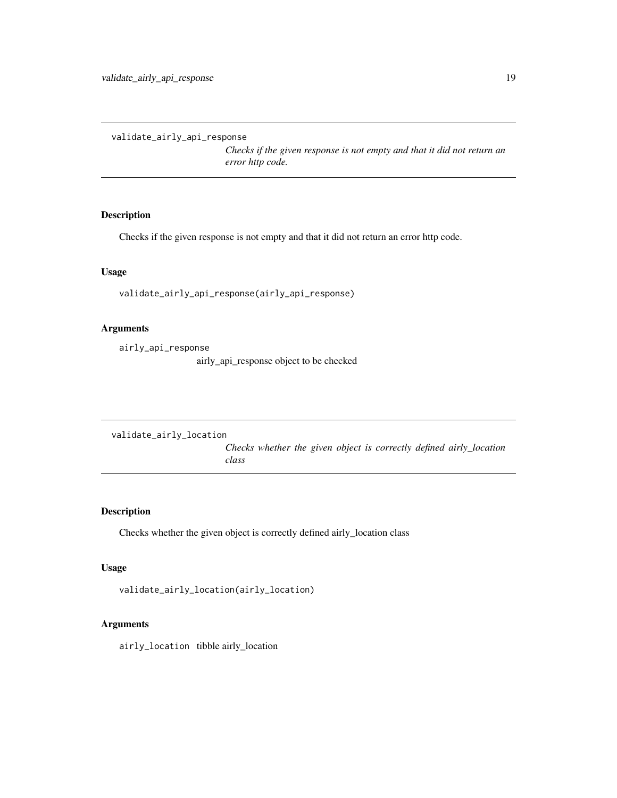<span id="page-18-0"></span>validate\_airly\_api\_response

*Checks if the given response is not empty and that it did not return an error http code.*

#### Description

Checks if the given response is not empty and that it did not return an error http code.

#### Usage

validate\_airly\_api\_response(airly\_api\_response)

#### Arguments

airly\_api\_response airly\_api\_response object to be checked

validate\_airly\_location *Checks whether the given object is correctly defined airly\_location class*

#### Description

Checks whether the given object is correctly defined airly\_location class

#### Usage

```
validate_airly_location(airly_location)
```
#### Arguments

airly\_location tibble airly\_location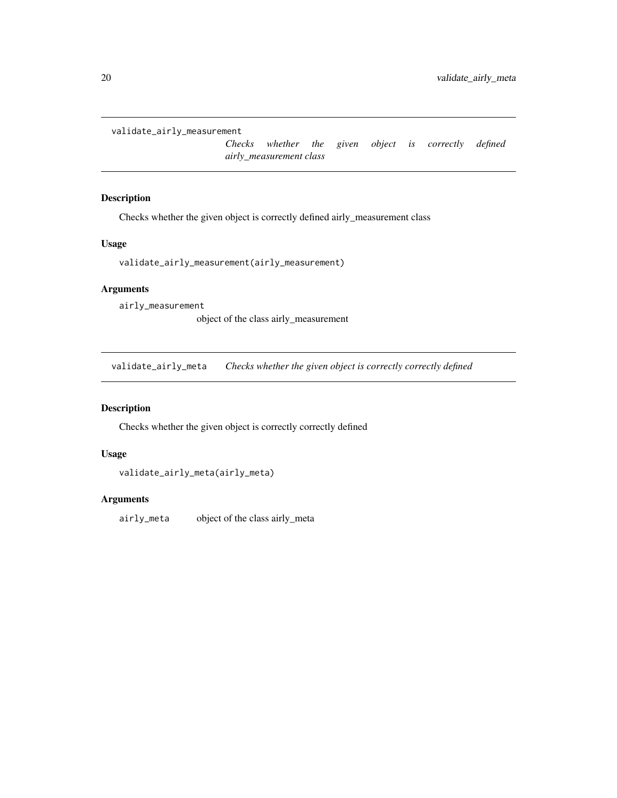```
validate_airly_measurement
```
*Checks whether the given object is correctly defined airly\_measurement class*

#### Description

Checks whether the given object is correctly defined airly\_measurement class

#### Usage

validate\_airly\_measurement(airly\_measurement)

#### Arguments

airly\_measurement

object of the class airly\_measurement

validate\_airly\_meta *Checks whether the given object is correctly correctly defined*

#### Description

Checks whether the given object is correctly correctly defined

#### Usage

validate\_airly\_meta(airly\_meta)

#### Arguments

airly\_meta object of the class airly\_meta